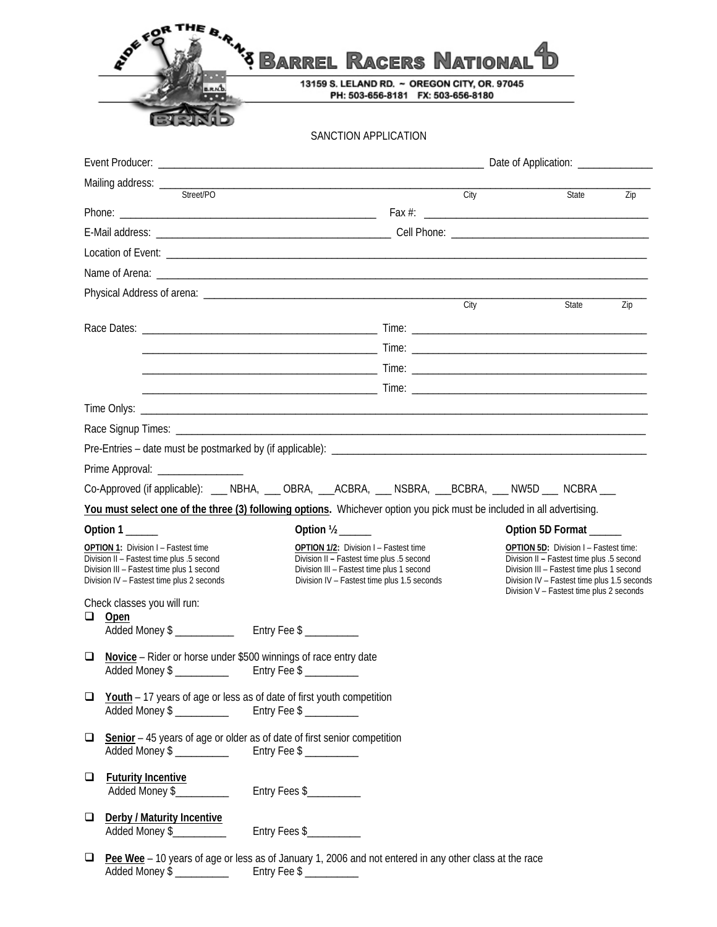|                                                                                                                                     | <b>RIVER</b>                                                             | <sup>3</sup> Barrel Racers National <b>"D</b>                                                                                                                                                                                    |                                                                  |                                                                                                                                                                                   |     |
|-------------------------------------------------------------------------------------------------------------------------------------|--------------------------------------------------------------------------|----------------------------------------------------------------------------------------------------------------------------------------------------------------------------------------------------------------------------------|------------------------------------------------------------------|-----------------------------------------------------------------------------------------------------------------------------------------------------------------------------------|-----|
|                                                                                                                                     |                                                                          | 13159 S. LELAND RD. ~ OREGON CITY, OR. 97045<br>PH: 503-656-8181 FX: 503-656-8180                                                                                                                                                |                                                                  |                                                                                                                                                                                   |     |
|                                                                                                                                     |                                                                          |                                                                                                                                                                                                                                  |                                                                  |                                                                                                                                                                                   |     |
|                                                                                                                                     |                                                                          | SANCTION APPLICATION                                                                                                                                                                                                             |                                                                  |                                                                                                                                                                                   |     |
|                                                                                                                                     |                                                                          |                                                                                                                                                                                                                                  |                                                                  |                                                                                                                                                                                   |     |
|                                                                                                                                     |                                                                          | the control of the control of the control of the control of the control of the control of the control of the control of the control of the control of the control of the control of the control of the control of the control    |                                                                  |                                                                                                                                                                                   |     |
|                                                                                                                                     |                                                                          |                                                                                                                                                                                                                                  | City                                                             | State                                                                                                                                                                             | Zip |
|                                                                                                                                     |                                                                          |                                                                                                                                                                                                                                  |                                                                  |                                                                                                                                                                                   |     |
|                                                                                                                                     |                                                                          |                                                                                                                                                                                                                                  |                                                                  |                                                                                                                                                                                   |     |
|                                                                                                                                     |                                                                          |                                                                                                                                                                                                                                  |                                                                  |                                                                                                                                                                                   |     |
|                                                                                                                                     |                                                                          |                                                                                                                                                                                                                                  |                                                                  |                                                                                                                                                                                   |     |
|                                                                                                                                     |                                                                          |                                                                                                                                                                                                                                  | City                                                             | State                                                                                                                                                                             | Zip |
|                                                                                                                                     |                                                                          |                                                                                                                                                                                                                                  |                                                                  |                                                                                                                                                                                   |     |
|                                                                                                                                     |                                                                          |                                                                                                                                                                                                                                  |                                                                  |                                                                                                                                                                                   |     |
|                                                                                                                                     |                                                                          |                                                                                                                                                                                                                                  |                                                                  |                                                                                                                                                                                   |     |
|                                                                                                                                     |                                                                          |                                                                                                                                                                                                                                  |                                                                  |                                                                                                                                                                                   |     |
|                                                                                                                                     |                                                                          |                                                                                                                                                                                                                                  |                                                                  |                                                                                                                                                                                   |     |
|                                                                                                                                     |                                                                          |                                                                                                                                                                                                                                  |                                                                  |                                                                                                                                                                                   |     |
|                                                                                                                                     |                                                                          |                                                                                                                                                                                                                                  |                                                                  |                                                                                                                                                                                   |     |
|                                                                                                                                     | Prime Approval: __________________                                       |                                                                                                                                                                                                                                  |                                                                  |                                                                                                                                                                                   |     |
|                                                                                                                                     |                                                                          | Co-Approved (if applicable): ___ NBHA, ___ OBRA, ___ACBRA, ___ NSBRA, ___BCBRA, ___ NW5D ___ NCBRA ___<br>You must select one of the three (3) following options. Whichever option you pick must be included in all advertising. |                                                                  |                                                                                                                                                                                   |     |
|                                                                                                                                     |                                                                          |                                                                                                                                                                                                                                  |                                                                  |                                                                                                                                                                                   |     |
| Option 1<br>OPTION 1: Division I - Fastest time                                                                                     |                                                                          | OPTION 1/2: Division I - Fastest time                                                                                                                                                                                            | Option 5D Format<br><b>OPTION 5D: Division I - Fastest time:</b> |                                                                                                                                                                                   |     |
| Division II - Fastest time plus .5 second<br>Division III - Fastest time plus 1 second<br>Division IV - Fastest time plus 2 seconds |                                                                          | Division II - Fastest time plus .5 second<br>Division III - Fastest time plus 1 second<br>Division IV - Fastest time plus 1.5 seconds                                                                                            |                                                                  | Division II - Fastest time plus .5 second<br>Division III - Fastest time plus 1 second<br>Division IV - Fastest time plus 1.5 seconds<br>Division V - Fastest time plus 2 seconds |     |
| ⊔                                                                                                                                   | Check classes you will run:<br>Open                                      |                                                                                                                                                                                                                                  |                                                                  |                                                                                                                                                                                   |     |
| $\Box$                                                                                                                              | Novice - Rider or horse under \$500 winnings of race entry date          |                                                                                                                                                                                                                                  |                                                                  |                                                                                                                                                                                   |     |
| $\Box$                                                                                                                              | Youth - 17 years of age or less as of date of first youth competition    |                                                                                                                                                                                                                                  |                                                                  |                                                                                                                                                                                   |     |
| $\Box$                                                                                                                              | Senior - 45 years of age or older as of date of first senior competition |                                                                                                                                                                                                                                  |                                                                  |                                                                                                                                                                                   |     |
| $\Box$                                                                                                                              | <b>Futurity Incentive</b><br>Added Money \$                              | Entry Fees \$                                                                                                                                                                                                                    |                                                                  |                                                                                                                                                                                   |     |
| $\Box$                                                                                                                              | Derby / Maturity Incentive<br>Added Money \$                             | Entry Fees \$                                                                                                                                                                                                                    |                                                                  |                                                                                                                                                                                   |     |
| $\Box$                                                                                                                              |                                                                          | Pee Wee - 10 years of age or less as of January 1, 2006 and not entered in any other class at the race                                                                                                                           |                                                                  |                                                                                                                                                                                   |     |